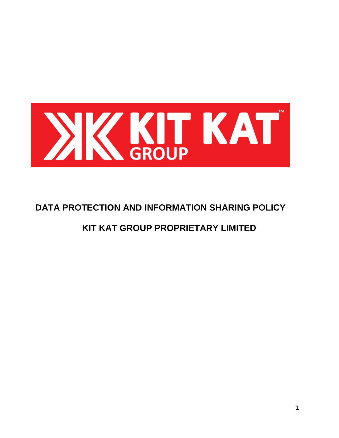

# **DATA PROTECTION AND INFORMATION SHARING POLICY**

# **KIT KAT GROUP PROPRIETARY LIMITED**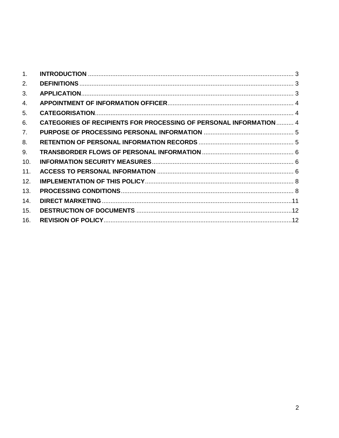| 1 <sub>1</sub> |                                                                           |  |
|----------------|---------------------------------------------------------------------------|--|
| 2.             |                                                                           |  |
| 3.             |                                                                           |  |
| 4.             |                                                                           |  |
| 5.             |                                                                           |  |
| 6.             | <b>CATEGORIES OF RECIPIENTS FOR PROCESSING OF PERSONAL INFORMATION  4</b> |  |
| 7.             |                                                                           |  |
| 8.             |                                                                           |  |
| 9.             |                                                                           |  |
| 10.            |                                                                           |  |
| 11.            |                                                                           |  |
| 12.            |                                                                           |  |
| 13.            |                                                                           |  |
| 14.            |                                                                           |  |
| 15.            |                                                                           |  |
| 16.            |                                                                           |  |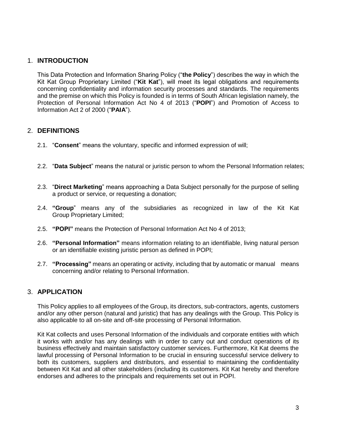## <span id="page-2-0"></span>1. **INTRODUCTION**

This Data Protection and Information Sharing Policy ("**the Policy**") describes the way in which the Kit Kat Group Proprietary Limited ("**Kit Kat**"), will meet its legal obligations and requirements concerning confidentiality and information security processes and standards. The requirements and the premise on which this Policy is founded is in terms of South African legislation namely, the Protection of Personal Information Act No 4 of 2013 ("**POPI**") and Promotion of Access to Information Act 2 of 2000 ("**PAIA**").

# <span id="page-2-1"></span>2. **DEFINITIONS**

- 2.1. "**Consent**" means the voluntary, specific and informed expression of will;
- 2.2. "**Data Subject**" means the natural or juristic person to whom the Personal Information relates;
- 2.3. "**Direct Marketing**" means approaching a Data Subject personally for the purpose of selling a product or service, or requesting a donation;
- 2.4. **"Group**" means any of the subsidiaries as recognized in law of the Kit Kat Group Proprietary Limited;
- 2.5. **"POPI"** means the Protection of Personal Information Act No 4 of 2013;
- 2.6. **"Personal Information"** means information relating to an identifiable, living natural person or an identifiable existing juristic person as defined in POPI;
- 2.7. **"Processing"** means an operating or activity, including that by automatic or manual means concerning and/or relating to Personal Information.

# <span id="page-2-2"></span>3. **APPLICATION**

This Policy applies to all employees of the Group, its directors, sub-contractors, agents, customers and/or any other person (natural and juristic) that has any dealings with the Group. This Policy is also applicable to all on-site and off-site processing of Personal Information.

Kit Kat collects and uses Personal Information of the individuals and corporate entities with which it works with and/or has any dealings with in order to carry out and conduct operations of its business effectively and maintain satisfactory customer services. Furthermore, Kit Kat deems the lawful processing of Personal Information to be crucial in ensuring successful service delivery to both its customers, suppliers and distributors, and essential to maintaining the confidentiality between Kit Kat and all other stakeholders (including its customers. Kit Kat hereby and therefore endorses and adheres to the principals and requirements set out in POPI.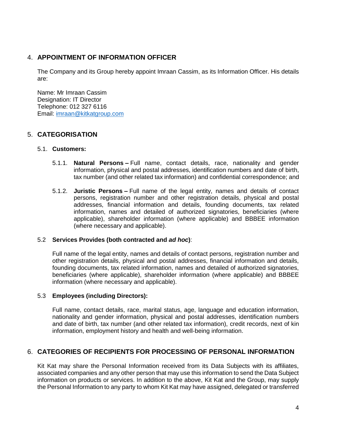## <span id="page-3-0"></span>4. **APPOINTMENT OF INFORMATION OFFICER**

The Company and its Group hereby appoint Imraan Cassim, as its Information Officer. His details are:

Name: Mr Imraan Cassim Designation: IT Director Telephone: 012 327 6116 Email: [imraan@kitkatgroup.com](mailto:imraan@kitkatgroup.com)

# <span id="page-3-1"></span>5. **CATEGORISATION**

#### 5.1. **Customers:**

- 5.1.1. **Natural Persons –** Full name, contact details, race, nationality and gender information, physical and postal addresses, identification numbers and date of birth, tax number (and other related tax information) and confidential correspondence; and
- 5.1.2. **Juristic Persons –** Full name of the legal entity, names and details of contact persons, registration number and other registration details, physical and postal addresses, financial information and details, founding documents, tax related information, names and detailed of authorized signatories, beneficiaries (where applicable), shareholder information (where applicable) and BBBEE information (where necessary and applicable).

#### 5.2 **Services Provides (both contracted and** *ad hoc***)**:

Full name of the legal entity, names and details of contact persons, registration number and other registration details, physical and postal addresses, financial information and details, founding documents, tax related information, names and detailed of authorized signatories, beneficiaries (where applicable), shareholder information (where applicable) and BBBEE information (where necessary and applicable).

#### 5.3 **Employees (including Directors):**

Full name, contact details, race, marital status, age, language and education information, nationality and gender information, physical and postal addresses, identification numbers and date of birth, tax number (and other related tax information), credit records, next of kin information, employment history and health and well-being information.

## <span id="page-3-2"></span>6. **CATEGORIES OF RECIPIENTS FOR PROCESSING OF PERSONAL INFORMATION**

Kit Kat may share the Personal Information received from its Data Subjects with its affiliates, associated companies and any other person that may use this information to send the Data Subject information on products or services. In addition to the above, Kit Kat and the Group, may supply the Personal Information to any party to whom Kit Kat may have assigned, delegated or transferred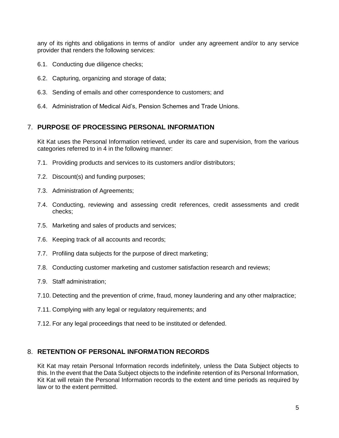any of its rights and obligations in terms of and/or under any agreement and/or to any service provider that renders the following services:

- 6.1. Conducting due diligence checks;
- 6.2. Capturing, organizing and storage of data;
- 6.3. Sending of emails and other correspondence to customers; and
- 6.4. Administration of Medical Aid's, Pension Schemes and Trade Unions.

## <span id="page-4-0"></span>7. **PURPOSE OF PROCESSING PERSONAL INFORMATION**

Kit Kat uses the Personal Information retrieved, under its care and supervision, from the various categories referred to in [4](#page-3-0) in the following manner:

- 7.1. Providing products and services to its customers and/or distributors;
- 7.2. Discount(s) and funding purposes;
- 7.3. Administration of Agreements;
- 7.4. Conducting, reviewing and assessing credit references, credit assessments and credit checks;
- 7.5. Marketing and sales of products and services;
- 7.6. Keeping track of all accounts and records;
- 7.7. Profiling data subjects for the purpose of direct marketing;
- 7.8. Conducting customer marketing and customer satisfaction research and reviews;
- 7.9. Staff administration;
- 7.10. Detecting and the prevention of crime, fraud, money laundering and any other malpractice;
- 7.11. Complying with any legal or regulatory requirements; and
- 7.12. For any legal proceedings that need to be instituted or defended.

#### <span id="page-4-1"></span>8. **RETENTION OF PERSONAL INFORMATION RECORDS**

Kit Kat may retain Personal Information records indefinitely, unless the Data Subject objects to this. In the event that the Data Subject objects to the indefinite retention of its Personal Information, Kit Kat will retain the Personal Information records to the extent and time periods as required by law or to the extent permitted.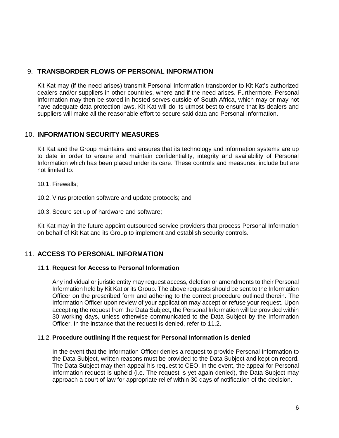# <span id="page-5-0"></span>9. **TRANSBORDER FLOWS OF PERSONAL INFORMATION**

Kit Kat may (if the need arises) transmit Personal Information transborder to Kit Kat's authorized dealers and/or suppliers in other countries, where and if the need arises. Furthermore, Personal Information may then be stored in hosted serves outside of South Africa, which may or may not have adequate data protection laws. Kit Kat will do its utmost best to ensure that its dealers and suppliers will make all the reasonable effort to secure said data and Personal Information.

# <span id="page-5-1"></span>10. **INFORMATION SECURITY MEASURES**

Kit Kat and the Group maintains and ensures that its technology and information systems are up to date in order to ensure and maintain confidentiality, integrity and availability of Personal Information which has been placed under its care. These controls and measures, include but are not limited to:

10.1. Firewalls;

10.2. Virus protection software and update protocols; and

10.3. Secure set up of hardware and software;

Kit Kat may in the future appoint outsourced service providers that process Personal Information on behalf of Kit Kat and its Group to implement and establish security controls.

## <span id="page-5-2"></span>11. **ACCESS TO PERSONAL INFORMATION**

#### 11.1. **Request for Access to Personal Information**

Any individual or juristic entity may request access, deletion or amendments to their Personal Information held by Kit Kat or its Group. The above requests should be sent to the Information Officer on the prescribed form and adhering to the correct procedure outlined therein. The Information Officer upon review of your application may accept or refuse your request. Upon accepting the request from the Data Subject, the Personal Information will be provided within 30 working days, unless otherwise communicated to the Data Subject by the Information Officer. In the instance that the request is denied, refer to [11.2.](#page-5-3)

#### <span id="page-5-3"></span>11.2. **Procedure outlining if the request for Personal Information is denied**

In the event that the Information Officer denies a request to provide Personal Information to the Data Subject, written reasons must be provided to the Data Subject and kept on record. The Data Subject may then appeal his request to CEO. In the event, the appeal for Personal Information request is upheld (i.e. The request is yet again denied), the Data Subject may approach a court of law for appropriate relief within 30 days of notification of the decision.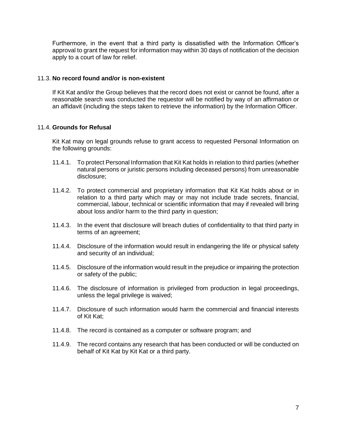Furthermore, in the event that a third party is dissatisfied with the Information Officer's approval to grant the request for information may within 30 days of notification of the decision apply to a court of law for relief.

#### 11.3. **No record found and/or is non-existent**

If Kit Kat and/or the Group believes that the record does not exist or cannot be found, after a reasonable search was conducted the requestor will be notified by way of an affirmation or an affidavit (including the steps taken to retrieve the information) by the Information Officer.

#### 11.4. **Grounds for Refusal**

Kit Kat may on legal grounds refuse to grant access to requested Personal Information on the following grounds:

- 11.4.1. To protect Personal Information that Kit Kat holds in relation to third parties (whether natural persons or juristic persons including deceased persons) from unreasonable disclosure;
- 11.4.2. To protect commercial and proprietary information that Kit Kat holds about or in relation to a third party which may or may not include trade secrets, financial, commercial, labour, technical or scientific information that may if revealed will bring about loss and/or harm to the third party in question;
- 11.4.3. In the event that disclosure will breach duties of confidentiality to that third party in terms of an agreement;
- 11.4.4. Disclosure of the information would result in endangering the life or physical safety and security of an individual;
- 11.4.5. Disclosure of the information would result in the prejudice or impairing the protection or safety of the public;
- 11.4.6. The disclosure of information is privileged from production in legal proceedings, unless the legal privilege is waived;
- 11.4.7. Disclosure of such information would harm the commercial and financial interests of Kit Kat;
- 11.4.8. The record is contained as a computer or software program; and
- 11.4.9. The record contains any research that has been conducted or will be conducted on behalf of Kit Kat by Kit Kat or a third party.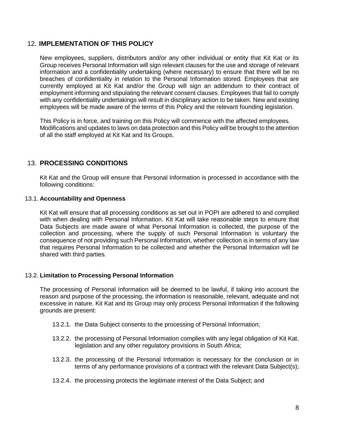## <span id="page-7-0"></span>12. **IMPLEMENTATION OF THIS POLICY**

New employees, suppliers, distributors and/or any other individual or entity that Kit Kat or its Group receives Personal Information will sign relevant clauses for the use and storage of relevant information and a confidentiality undertaking (where necessary) to ensure that there will be no breaches of confidentiality in relation to the Personal Information stored. Employees that are currently employed at Kit Kat and/or the Group will sign an addendum to their contract of employment informing and stipulating the relevant consent clauses. Employees that fail to comply with any confidentiality undertakings will result in disciplinary action to be taken. New and existing employees will be made aware of the terms of this Policy and the relevant founding legislation.

This Policy is in force, and training on this Policy will commence with the affected employees. Modifications and updates to laws on data protection and this Policy will be brought to the attention of all the staff employed at Kit Kat and Its Groups.

## <span id="page-7-1"></span>13. **PROCESSING CONDITIONS**

Kit Kat and the Group will ensure that Personal Information is processed in accordance with the following conditions:

#### 13.1. **Accountability and Openness**

Kit Kat will ensure that all processing conditions as set out in POPI are adhered to and complied with when dealing with Personal Information. Kit Kat will take reasonable steps to ensure that Data Subjects are made aware of what Personal Information is collected, the purpose of the collection and processing, where the supply of such Personal Information is voluntary the consequence of not providing such Personal Information, whether collection is in terms of any law that requires Personal Information to be collected and whether the Personal Information will be shared with third parties.

#### 13.2. **Limitation to Processing Personal Information**

The processing of Personal Information will be deemed to be lawful, if taking into account the reason and purpose of the processing, the information is reasonable, relevant, adequate and not excessive in nature. Kit Kat and its Group may only process Personal Information if the following grounds are present:

- 13.2.1. the Data Subject consents to the processing of Personal Information;
- 13.2.2. the processing of Personal Information complies with any legal obligation of Kit Kat, legislation and any other regulatory provisions in South Africa;
- 13.2.3. the processing of the Personal Information is necessary for the conclusion or in terms of any performance provisions of a contract with the relevant Data Subject(s);
- 13.2.4. the processing protects the legitimate interest of the Data Subject; and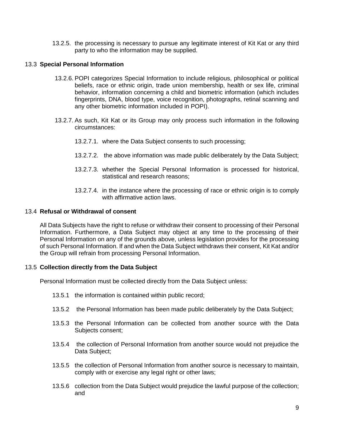13.2.5. the processing is necessary to pursue any legitimate interest of Kit Kat or any third party to who the information may be supplied.

#### 13.3 **Special Personal Information**

- 13.2.6. POPI categorizes Special Information to include religious, philosophical or political beliefs, race or ethnic origin, trade union membership, health or sex life, criminal behavior, information concerning a child and biometric information (which includes fingerprints, DNA, blood type, voice recognition, photographs, retinal scanning and any other biometric information included in POPI).
- 13.2.7. As such, Kit Kat or its Group may only process such information in the following circumstances:
	- 13.2.7.1. where the Data Subject consents to such processing;
	- 13.2.7.2. the above information was made public deliberately by the Data Subject;
	- 13.2.7.3. whether the Special Personal Information is processed for historical, statistical and research reasons;
	- 13.2.7.4. in the instance where the processing of race or ethnic origin is to comply with affirmative action laws.

#### 13.4 **Refusal or Withdrawal of consent**

All Data Subjects have the right to refuse or withdraw their consent to processing of their Personal Information. Furthermore, a Data Subject may object at any time to the processing of their Personal Information on any of the grounds above, unless legislation provides for the processing of such Personal Information. If and when the Data Subject withdraws their consent, Kit Kat and/or the Group will refrain from processing Personal Information.

#### 13.5 **Collection directly from the Data Subject**

Personal Information must be collected directly from the Data Subject unless:

- 13.5.1 the information is contained within public record;
- 13.5.2 the Personal Information has been made public deliberately by the Data Subject;
- 13.5.3 the Personal Information can be collected from another source with the Data Subjects consent;
- 13.5.4 the collection of Personal Information from another source would not prejudice the Data Subject;
- 13.5.5 the collection of Personal Information from another source is necessary to maintain, comply with or exercise any legal right or other laws;
- 13.5.6 collection from the Data Subject would prejudice the lawful purpose of the collection; and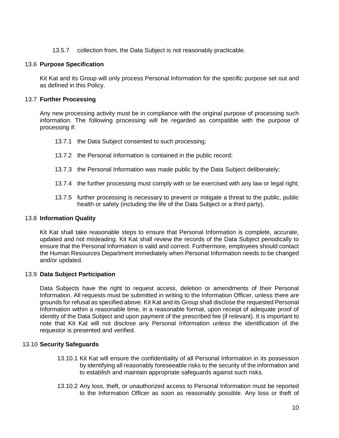13.5.7 collection from, the Data Subject is not reasonably practicable.

#### 13.6 **Purpose Specification**

Kit Kat and its Group will only process Personal Information for the specific purpose set out and as defined in this Policy.

#### 13.7 **Further Processing**

Any new processing activity must be in compliance with the original purpose of processing such information. The following processing will be regarded as compatible with the purpose of processing if:

- 13.7.1 the Data Subject consented to such processing;
- 13.7.2 the Personal Information is contained in the public record;
- 13.7.3 the Personal Information was made public by the Data Subject deliberately;
- 13.7.4 the further processing must comply with or be exercised with any law or legal right;
- 13.7.5 further processing is necessary to prevent or mitigate a threat to the public, public health or safety (including the life of the Data Subject or a third party).

#### 13.8 **Information Quality**

Kit Kat shall take reasonable steps to ensure that Personal Information is complete, accurate, updated and not misleading. Kit Kat shall review the records of the Data Subject periodically to ensure that the Personal Information is valid and correct. Furthermore, employees should contact the Human Resources Department immediately when Personal Information needs to be changed and/or updated.

#### 13.9 **Data Subject Participation**

Data Subjects have the right to request access, deletion or amendments of their Personal Information. All requests must be submitted in writing to the Information Officer, unless there are grounds for refusal as specified above. Kit Kat and its Group shall disclose the requested Personal Information within a reasonable time, in a reasonable format, upon receipt of adequate proof of identity of the Data Subject and upon payment of the prescribed fee (if relevant). It is important to note that Kit Kat will not disclose any Personal Information unless the identification of the requestor is presented and verified.

#### 13.10 **Security Safeguards**

- 13.10.1 Kit Kat will ensure the confidentiality of all Personal Information in its possession by identifying all reasonably foreseeable risks to the security of the information and to establish and maintain appropriate safeguards against such risks.
- 13.10.2 Any loss, theft, or unauthorized access to Personal Information must be reported to the Information Officer as soon as reasonably possible. Any loss or theft of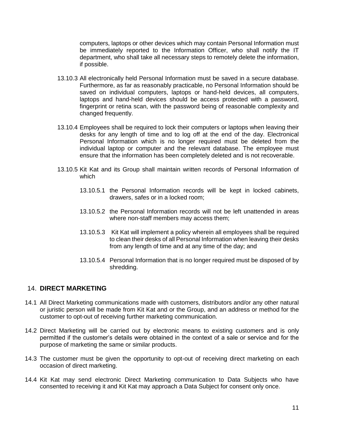computers, laptops or other devices which may contain Personal Information must be immediately reported to the Information Officer, who shall notify the IT department, who shall take all necessary steps to remotely delete the information, if possible.

- 13.10.3 All electronically held Personal Information must be saved in a secure database. Furthermore, as far as reasonably practicable, no Personal Information should be saved on individual computers, laptops or hand-held devices, all computers, laptops and hand-held devices should be access protected with a password, fingerprint or retina scan, with the password being of reasonable complexity and changed frequently.
- 13.10.4 Employees shall be required to lock their computers or laptops when leaving their desks for any length of time and to log off at the end of the day. Electronical Personal Information which is no longer required must be deleted from the individual laptop or computer and the relevant database. The employee must ensure that the information has been completely deleted and is not recoverable.
- 13.10.5 Kit Kat and its Group shall maintain written records of Personal Information of which
	- 13.10.5.1 the Personal Information records will be kept in locked cabinets, drawers, safes or in a locked room;
	- 13.10.5.2 the Personal Information records will not be left unattended in areas where non-staff members may access them;
	- 13.10.5.3 Kit Kat will implement a policy wherein all employees shall be required to clean their desks of all Personal Information when leaving their desks from any length of time and at any time of the day; and
	- 13.10.5.4 Personal Information that is no longer required must be disposed of by shredding.

#### <span id="page-10-0"></span>14. **DIRECT MARKETING**

- 14.1 All Direct Marketing communications made with customers, distributors and/or any other natural or juristic person will be made from Kit Kat and or the Group, and an address or method for the customer to opt-out of receiving further marketing communication.
- 14.2 Direct Marketing will be carried out by electronic means to existing customers and is only permitted if the customer's details were obtained in the context of a sale or service and for the purpose of marketing the same or similar products.
- 14.3 The customer must be given the opportunity to opt-out of receiving direct marketing on each occasion of direct marketing.
- 14.4 Kit Kat may send electronic Direct Marketing communication to Data Subjects who have consented to receiving it and Kit Kat may approach a Data Subject for consent only once.